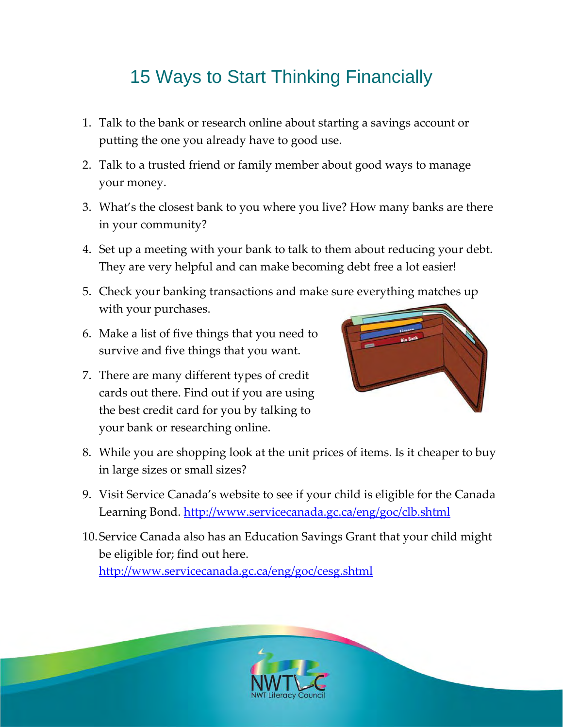## 15 Ways to Start Thinking Financially

- 1. Talk to the bank or research online about starting a savings account or putting the one you already have to good use.
- 2. Talk to a trusted friend or family member about good ways to manage your money.
- 3. What's the closest bank to you where you live? How many banks are there in your community?
- 4. Set up a meeting with your bank to talk to them about reducing your debt. They are very helpful and can make becoming debt free a lot easier!
- 5. Check your banking transactions and make sure everything matches up with your purchases.
- 6. Make a list of five things that you need to survive and five things that you want.
- 7. There are many different types of credit cards out there. Find out if you are using the best credit card for you by talking to your bank or researching online.



- 8. While you are shopping look at the unit prices of items. Is it cheaper to buy in large sizes or small sizes?
- 9. Visit Service Canada's website to see if your child is eligible for the Canada Learning Bond. <http://www.servicecanada.gc.ca/eng/goc/clb.shtml>
- 10.Service Canada also has an Education Savings Grant that your child might be eligible for; find out here.

<http://www.servicecanada.gc.ca/eng/goc/cesg.shtml>